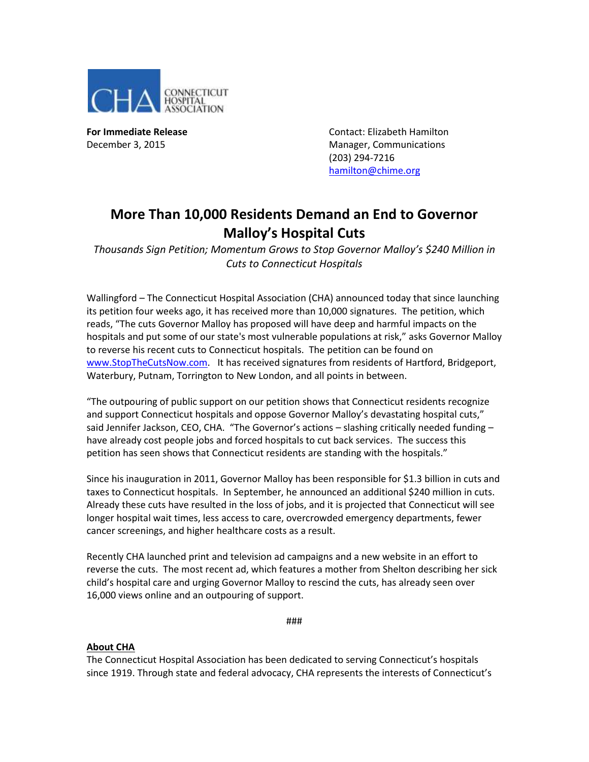

**For Immediate Release Contact: Elizabeth Hamilton** December 3, 2015 Manager, Communications (203) 294-7216 [hamilton@chime.org](mailto:hamilton@chime.org)

## **More Than 10,000 Residents Demand an End to Governor Malloy's Hospital Cuts**

*Thousands Sign Petition; Momentum Grows to Stop Governor Malloy's \$240 Million in Cuts to Connecticut Hospitals*

Wallingford – The Connecticut Hospital Association (CHA) announced today that since launching its petition four weeks ago, it has received more than 10,000 signatures. The petition, which reads, "The cuts Governor Malloy has proposed will have deep and harmful impacts on the hospitals and put some of our state's most vulnerable populations at risk," asks Governor Malloy to reverse his recent cuts to Connecticut hospitals. The petition can be found on [www.StopTheCutsNow.com.](http://www.stopthecutsnow.com/) It has received signatures from residents of Hartford, Bridgeport, Waterbury, Putnam, Torrington to New London, and all points in between.

"The outpouring of public support on our petition shows that Connecticut residents recognize and support Connecticut hospitals and oppose Governor Malloy's devastating hospital cuts," said Jennifer Jackson, CEO, CHA. "The Governor's actions - slashing critically needed funding have already cost people jobs and forced hospitals to cut back services. The success this petition has seen shows that Connecticut residents are standing with the hospitals."

Since his inauguration in 2011, Governor Malloy has been responsible for \$1.3 billion in cuts and taxes to Connecticut hospitals. In September, he announced an additional \$240 million in cuts. Already these cuts have resulted in the loss of jobs, and it is projected that Connecticut will see longer hospital wait times, less access to care, overcrowded emergency departments, fewer cancer screenings, and higher healthcare costs as a result.

Recently CHA launched print and television ad campaigns and a new website in an effort to reverse the cuts. The most recent ad, which features a mother from Shelton describing her sick child's hospital care and urging Governor Malloy to rescind the cuts, has already seen over 16,000 views online and an outpouring of support.

###

## **About CHA**

The Connecticut Hospital Association has been dedicated to serving Connecticut's hospitals since 1919. Through state and federal advocacy, CHA represents the interests of Connecticut's